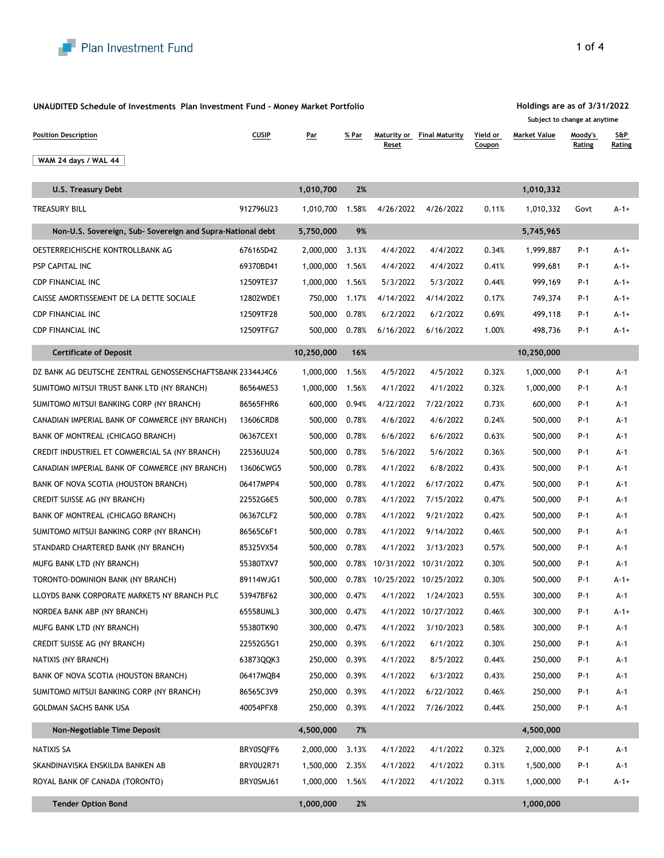

**UNAUDITED Schedule of Investments Plan Investment Fund - Money Market Portfolio**

| <b>Position Description</b>                                | <b>CUSIP</b> | <u>Par</u>    | % Par | Reset     | <b>Maturity or Final Maturity</b> | Yield or<br>Coupon | <b>Market Value</b> | Moody's<br>Rating | <b>S&amp;P</b><br>Rating |
|------------------------------------------------------------|--------------|---------------|-------|-----------|-----------------------------------|--------------------|---------------------|-------------------|--------------------------|
| WAM 24 days / WAL 44                                       |              |               |       |           |                                   |                    |                     |                   |                          |
|                                                            |              |               |       |           |                                   |                    |                     |                   |                          |
| <b>U.S. Treasury Debt</b>                                  |              | 1,010,700     | 2%    |           |                                   |                    | 1,010,332           |                   |                          |
| <b>TREASURY BILL</b>                                       | 912796U23    | 1,010,700     | 1.58% | 4/26/2022 | 4/26/2022                         | 0.11%              | 1,010,332           | Govt              | $A-1+$                   |
| Non-U.S. Sovereign, Sub- Sovereign and Supra-National debt |              | 5,750,000     | 9%    |           |                                   |                    | 5,745,965           |                   |                          |
| OESTERREICHISCHE KONTROLLBANK AG                           | 67616SD42    | 2,000,000     | 3.13% | 4/4/2022  | 4/4/2022                          | 0.34%              | 1,999,887           | P-1               | $A-1+$                   |
| PSP CAPITAL INC                                            | 69370BD41    | 1,000,000     | 1.56% | 4/4/2022  | 4/4/2022                          | 0.41%              | 999,681             | P-1               | $A-1+$                   |
| <b>CDP FINANCIAL INC</b>                                   | 12509TE37    | 1,000,000     | 1.56% | 5/3/2022  | 5/3/2022                          | 0.44%              | 999,169             | P-1               | $A-1+$                   |
| CAISSE AMORTISSEMENT DE LA DETTE SOCIALE                   | 12802WDE1    | 750,000       | 1.17% | 4/14/2022 | 4/14/2022                         | 0.17%              | 749,374             | P-1               | $A-1+$                   |
| <b>CDP FINANCIAL INC</b>                                   | 12509TF28    | 500,000       | 0.78% | 6/2/2022  | 6/2/2022                          | 0.69%              | 499,118             | P-1               | $A-1+$                   |
| <b>CDP FINANCIAL INC</b>                                   | 12509TFG7    | 500,000       | 0.78% | 6/16/2022 | 6/16/2022                         | 1.00%              | 498,736             | P-1               | $A-1+$                   |
| <b>Certificate of Deposit</b>                              |              | 10,250,000    | 16%   |           |                                   |                    | 10,250,000          |                   |                          |
| DZ BANK AG DEUTSCHE ZENTRAL GENOSSENSCHAFTSBANK 23344J4C6  |              | 1,000,000     | 1.56% | 4/5/2022  | 4/5/2022                          | 0.32%              | 1,000,000           | P-1               | A-1                      |
| SUMITOMO MITSUI TRUST BANK LTD (NY BRANCH)                 | 86564MES3    | 1,000,000     | 1.56% | 4/1/2022  | 4/1/2022                          | 0.32%              | 1,000,000           | P-1               | A-1                      |
| SUMITOMO MITSUI BANKING CORP (NY BRANCH)                   | 86565FHR6    | 600,000       | 0.94% | 4/22/2022 | 7/22/2022                         | 0.73%              | 600,000             | P-1               | A-1                      |
| CANADIAN IMPERIAL BANK OF COMMERCE (NY BRANCH)             | 13606CRD8    | 500,000       | 0.78% | 4/6/2022  | 4/6/2022                          | 0.24%              | 500,000             | P-1               | A-1                      |
| BANK OF MONTREAL (CHICAGO BRANCH)                          | 06367CEX1    | 500,000       | 0.78% | 6/6/2022  | 6/6/2022                          | 0.63%              | 500,000             | P-1               | A-1                      |
| CREDIT INDUSTRIEL ET COMMERCIAL SA (NY BRANCH)             | 22536UU24    | 500,000       | 0.78% | 5/6/2022  | 5/6/2022                          | 0.36%              | 500,000             | P-1               | A-1                      |
| CANADIAN IMPERIAL BANK OF COMMERCE (NY BRANCH)             | 13606CWG5    | 500,000       | 0.78% | 4/1/2022  | 6/8/2022                          | 0.43%              | 500,000             | P-1               | A-1                      |
| BANK OF NOVA SCOTIA (HOUSTON BRANCH)                       | 06417MPP4    | 500,000       | 0.78% | 4/1/2022  | 6/17/2022                         | 0.47%              | 500,000             | P-1               | A-1                      |
| CREDIT SUISSE AG (NY BRANCH)                               | 22552G6E5    | 500,000       | 0.78% | 4/1/2022  | 7/15/2022                         | 0.47%              | 500,000             | P-1               | A-1                      |
| BANK OF MONTREAL (CHICAGO BRANCH)                          | 06367CLF2    | 500,000       | 0.78% | 4/1/2022  | 9/21/2022                         | 0.42%              | 500,000             | P-1               | A-1                      |
| SUMITOMO MITSUI BANKING CORP (NY BRANCH)                   | 86565C6F1    | 500,000       | 0.78% | 4/1/2022  | 9/14/2022                         | 0.46%              | 500,000             | P-1               | A-1                      |
| STANDARD CHARTERED BANK (NY BRANCH)                        | 85325VX54    | 500,000       | 0.78% | 4/1/2022  | 3/13/2023                         | 0.57%              | 500,000             | P-1               | A-1                      |
| MUFG BANK LTD (NY BRANCH)                                  | 55380TXV7    | 500,000       |       |           | 0.78% 10/31/2022 10/31/2022       | 0.30%              | 500,000             | P-1               | A-1                      |
| TORONTO-DOMINION BANK (NY BRANCH)                          | 89114WJG1    | 500,000       |       |           | 0.78% 10/25/2022 10/25/2022       | 0.30%              | 500,000             | P-1               | $A-1+$                   |
| LLOYDS BANK CORPORATE MARKETS NY BRANCH PLC                | 53947BF62    | 300,000       | 0.47% | 4/1/2022  | 1/24/2023                         | 0.55%              | 300,000             | P-1               | A-1                      |
| NORDEA BANK ABP (NY BRANCH)                                | 65558UML3    | 300,000       | 0.47% |           | 4/1/2022 10/27/2022               | 0.46%              | 300,000             | P-1               | A-1+                     |
| MUFG BANK LTD (NY BRANCH)                                  | 55380TK90    | 300,000 0.47% |       | 4/1/2022  | 3/10/2023                         | 0.58%              | 300,000             | P-1               | A-1                      |
| CREDIT SUISSE AG (NY BRANCH)                               | 22552G5G1    | 250,000       | 0.39% | 6/1/2022  | 6/1/2022                          | 0.30%              | 250,000             | P-1               | A-1                      |
| NATIXIS (NY BRANCH)                                        | 63873QQK3    | 250,000       | 0.39% | 4/1/2022  | 8/5/2022                          | 0.44%              | 250,000             | P-1               | A-1                      |
| BANK OF NOVA SCOTIA (HOUSTON BRANCH)                       | 06417MQB4    | 250,000       | 0.39% | 4/1/2022  | 6/3/2022                          | 0.43%              | 250,000             | P-1               | A-1                      |
| SUMITOMO MITSUI BANKING CORP (NY BRANCH)                   | 86565C3V9    | 250,000       | 0.39% | 4/1/2022  | 6/22/2022                         | 0.46%              | 250,000             | P-1               | A-1                      |
| GOLDMAN SACHS BANK USA                                     | 40054PFX8    | 250,000       | 0.39% | 4/1/2022  | 7/26/2022                         | 0.44%              | 250,000             | P-1               | A-1                      |
| Non-Negotiable Time Deposit                                |              | 4,500,000     | 7%    |           |                                   |                    | 4,500,000           |                   |                          |
| NATIXIS SA                                                 | BRY0SQFF6    | 2,000,000     | 3.13% | 4/1/2022  | 4/1/2022                          | 0.32%              | 2,000,000           | P-1               | A-1                      |
| SKANDINAVISKA ENSKILDA BANKEN AB                           | BRY0U2R71    | 1,500,000     | 2.35% | 4/1/2022  | 4/1/2022                          | 0.31%              | 1,500,000           | P-1               | A-1                      |
| ROYAL BANK OF CANADA (TORONTO)                             | BRY0SMJ61    | 1,000,000     | 1.56% | 4/1/2022  | 4/1/2022                          | 0.31%              | 1,000,000           | P-1               | $A-1+$                   |
| <b>Tender Option Bond</b>                                  |              | 1,000,000     | 2%    |           |                                   |                    | 1,000,000           |                   |                          |

## 1 of 4

**Holdings are as of 3/31/2022 Subject to change at anytime**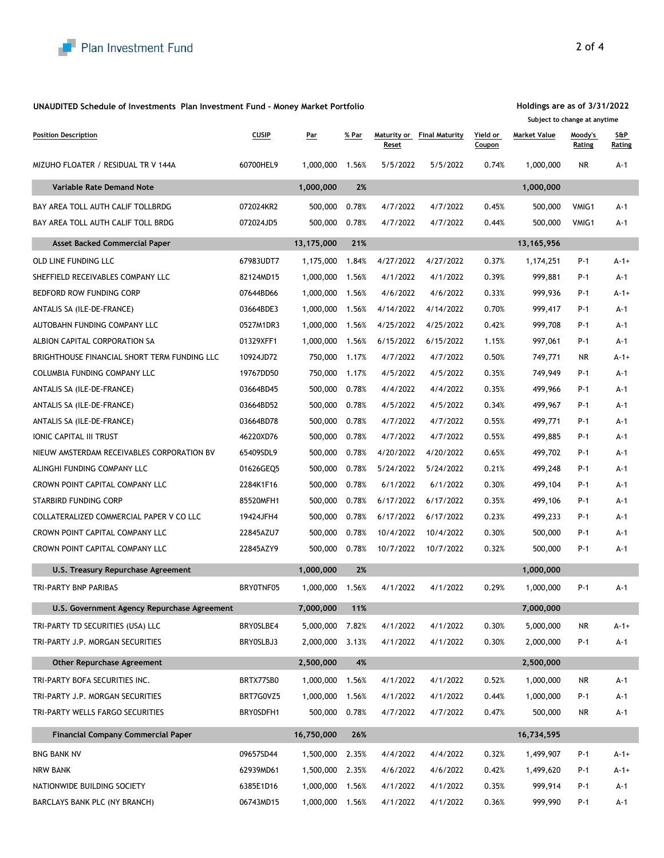## **UNAUDITED Schedule of Investments Plan Investment Fund - Money Market Portfolio**

| <b>Position Description</b>                  | <b>CUSIP</b> | <u>Par</u> | % Par | Reset     | Maturity or Final Maturity | Yield or<br>Coupon | <b>Market Value</b> | <u>Moody's</u><br>Rating | <b>S&amp;P</b><br>Rating |
|----------------------------------------------|--------------|------------|-------|-----------|----------------------------|--------------------|---------------------|--------------------------|--------------------------|
| MIZUHO FLOATER / RESIDUAL TR V 144A          | 60700HEL9    | 1,000,000  | 1.56% | 5/5/2022  | 5/5/2022                   | 0.74%              | 1,000,000           | NR                       | A-1                      |
| Variable Rate Demand Note                    |              | 1,000,000  | 2%    |           |                            |                    | 1,000,000           |                          |                          |
| BAY AREA TOLL AUTH CALIF TOLLBRDG            | 072024KR2    | 500,000    | 0.78% | 4/7/2022  | 4/7/2022                   | 0.45%              | 500,000             | VMIG1                    | A-1                      |
| BAY AREA TOLL AUTH CALIF TOLL BRDG           | 072024JD5    | 500,000    | 0.78% | 4/7/2022  | 4/7/2022                   | 0.44%              | 500,000             | VMIG1                    | A-1                      |
| <b>Asset Backed Commercial Paper</b>         |              | 13,175,000 | 21%   |           |                            |                    | 13, 165, 956        |                          |                          |
| OLD LINE FUNDING LLC                         | 67983UDT7    | 1,175,000  | 1.84% | 4/27/2022 | 4/27/2022                  | 0.37%              | 1,174,251           | P-1                      | $A - 1 +$                |
| SHEFFIELD RECEIVABLES COMPANY LLC            | 82124MD15    | 1,000,000  | 1.56% | 4/1/2022  | 4/1/2022                   | 0.39%              | 999,881             | P-1                      | A-1                      |
| BEDFORD ROW FUNDING CORP                     | 07644BD66    | 1,000,000  | 1.56% | 4/6/2022  | 4/6/2022                   | 0.33%              | 999,936             | $P-1$                    | A-1+                     |
| ANTALIS SA (ILE-DE-FRANCE)                   | 03664BDE3    | 1,000,000  | 1.56% | 4/14/2022 | 4/14/2022                  | 0.70%              | 999,417             | P-1                      | A-1                      |
| AUTOBAHN FUNDING COMPANY LLC                 | 0527M1DR3    | 1,000,000  | 1.56% | 4/25/2022 | 4/25/2022                  | 0.42%              | 999,708             | $P-1$                    | A-1                      |
| ALBION CAPITAL CORPORATION SA                | 01329XFF1    | 1,000,000  | 1.56% | 6/15/2022 | 6/15/2022                  | 1.15%              | 997,061             | P-1                      | A-1                      |
| BRIGHTHOUSE FINANCIAL SHORT TERM FUNDING LLC | 10924JD72    | 750,000    | 1.17% | 4/7/2022  | 4/7/2022                   | 0.50%              | 749,771             | NR.                      | $A - 1 +$                |
| COLUMBIA FUNDING COMPANY LLC                 | 19767DD50    | 750,000    | 1.17% | 4/5/2022  | 4/5/2022                   | 0.35%              | 749,949             | P-1                      | A-1                      |
| ANTALIS SA (ILE-DE-FRANCE)                   | 03664BD45    | 500,000    | 0.78% | 4/4/2022  | 4/4/2022                   | 0.35%              | 499,966             | P-1                      | A-1                      |
| ANTALIS SA (ILE-DE-FRANCE)                   | 03664BD52    | 500,000    | 0.78% | 4/5/2022  | 4/5/2022                   | 0.34%              | 499,967             | $P-1$                    | A-1                      |
| ANTALIS SA (ILE-DE-FRANCE)                   | 03664BD78    | 500,000    | 0.78% | 4/7/2022  | 4/7/2022                   | 0.55%              | 499,771             | P-1                      | A-1                      |
| IONIC CAPITAL III TRUST                      | 46220XD76    | 500,000    | 0.78% | 4/7/2022  | 4/7/2022                   | 0.55%              | 499,885             | P-1                      | A-1                      |
| NIEUW AMSTERDAM RECEIVABLES CORPORATION BV   | 65409SDL9    | 500,000    | 0.78% | 4/20/2022 | 4/20/2022                  | 0.65%              | 499,702             | P-1                      | A-1                      |
| ALINGHI FUNDING COMPANY LLC                  | 01626GEQ5    | 500,000    | 0.78% | 5/24/2022 | 5/24/2022                  | 0.21%              | 499,248             | P-1                      | A-1                      |
| CROWN POINT CAPITAL COMPANY LLC              | 2284K1F16    | 500,000    | 0.78% | 6/1/2022  | 6/1/2022                   | 0.30%              | 499,104             | P-1                      | A-1                      |
| STARBIRD FUNDING CORP                        | 85520MFH1    | 500,000    | 0.78% | 6/17/2022 | 6/17/2022                  | 0.35%              | 499,106             | $P-1$                    | A-1                      |
| COLLATERALIZED COMMERCIAL PAPER V CO LLC     | 19424JFH4    | 500,000    | 0.78% | 6/17/2022 | 6/17/2022                  | 0.23%              | 499,233             | P-1                      | A-1                      |
| CROWN POINT CAPITAL COMPANY LLC              | 22845AZU7    | 500,000    | 0.78% | 10/4/2022 | 10/4/2022                  | 0.30%              | 500,000             | $P-1$                    | A-1                      |
| CROWN POINT CAPITAL COMPANY LLC              | 22845AZY9    | 500,000    | 0.78% | 10/7/2022 | 10/7/2022                  | 0.32%              | 500,000             | P-1                      | A-1                      |
| U.S. Treasury Repurchase Agreement           |              | 1,000,000  | 2%    |           |                            |                    | 1,000,000           |                          |                          |
| TRI-PARTY BNP PARIBAS                        | BRYOTNF05    | 1,000,000  | 1.56% | 4/1/2022  | 4/1/2022                   | 0.29%              | 1,000,000           | P-1                      | A-1                      |
| U.S. Government Agency Repurchase Agreement  |              | 7,000,000  | 11%   |           |                            |                    | 7,000,000           |                          |                          |
| TRI-PARTY TD SECURITIES (USA) LLC            | BRY0SLBE4    | 5,000,000  | 7.82% | 4/1/2022  | 4/1/2022                   | 0.30%              | 5,000,000           | <b>NR</b>                | $A - 1 +$                |
| TRI-PARTY J.P. MORGAN SECURITIES             | BRY0SLBJ3    | 2,000,000  | 3.13% | 4/1/2022  | 4/1/2022                   | 0.30%              | 2,000,000           | P-1                      | $A-1$                    |
| <b>Other Repurchase Agreement</b>            |              | 2,500,000  | 4%    |           |                            |                    | 2,500,000           |                          |                          |
| TRI-PARTY BOFA SECURITIES INC.               | BRTX77SB0    | 1,000,000  | 1.56% | 4/1/2022  | 4/1/2022                   | 0.52%              | 1,000,000           | <b>NR</b>                | $A-1$                    |
| TRI-PARTY J.P. MORGAN SECURITIES             | BRT7G0VZ5    | 1,000,000  | 1.56% | 4/1/2022  | 4/1/2022                   | 0.44%              | 1,000,000           | P-1                      | A-1                      |
| TRI-PARTY WELLS FARGO SECURITIES             | BRY0SDFH1    | 500,000    | 0.78% | 4/7/2022  | 4/7/2022                   | 0.47%              | 500,000             | NR.                      | A-1                      |
| <b>Financial Company Commercial Paper</b>    |              | 16,750,000 | 26%   |           |                            |                    | 16,734,595          |                          |                          |
| <b>BNG BANK NV</b>                           | 09657SD44    | 1,500,000  | 2.35% | 4/4/2022  | 4/4/2022                   | 0.32%              | 1,499,907           | P-1                      | $A - 1 +$                |
| <b>NRW BANK</b>                              | 62939MD61    | 1,500,000  | 2.35% | 4/6/2022  | 4/6/2022                   | 0.42%              | 1,499,620           | P-1                      | $A - 1 +$                |
| NATIONWIDE BUILDING SOCIETY                  | 6385E1D16    | 1,000,000  | 1.56% | 4/1/2022  | 4/1/2022                   | 0.35%              | 999,914             | P-1                      | A-1                      |
| BARCLAYS BANK PLC (NY BRANCH)                | 06743MD15    | 1,000,000  | 1.56% | 4/1/2022  | 4/1/2022                   | 0.36%              | 999,990             | P-1                      | A-1                      |

**Holdings are as of 3/31/2022 Subject to change at anytime**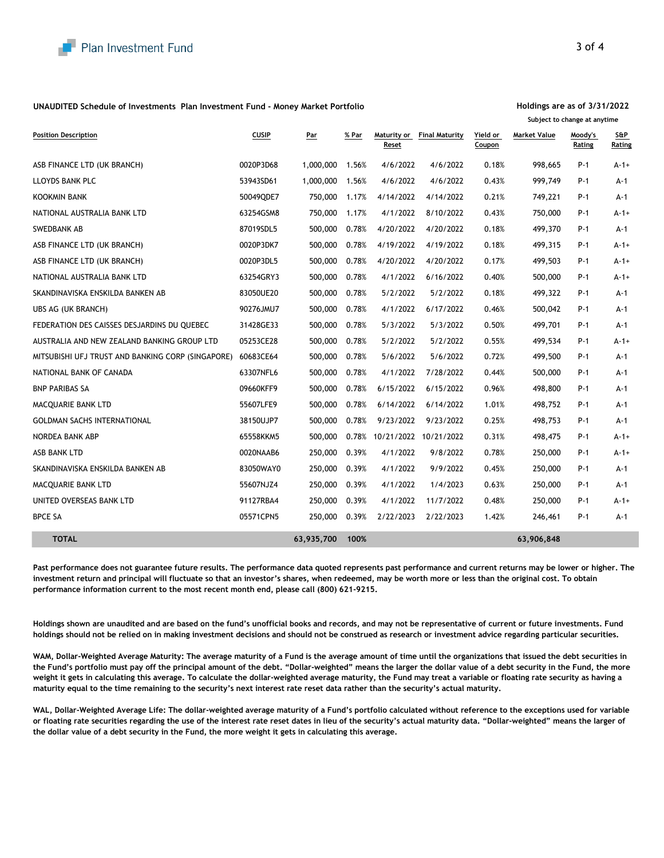## **UNAUDITED Schedule of Investments Plan Investment Fund - Money Market Portfolio**

|                                                   |              |            |       |                      |                       |                    |              | subject to change at anythine |               |
|---------------------------------------------------|--------------|------------|-------|----------------------|-----------------------|--------------------|--------------|-------------------------------|---------------|
| <b>Position Description</b>                       | <b>CUSIP</b> | Par        | % Par | Maturity or<br>Reset | <b>Final Maturity</b> | Yield or<br>Coupon | Market Value | Moody's<br><u>Rating</u>      | S&P<br>Rating |
| ASB FINANCE LTD (UK BRANCH)                       | 0020P3D68    | 1,000,000  | 1.56% | 4/6/2022             | 4/6/2022              | 0.18%              | 998,665      | P-1                           | A-1+          |
| LLOYDS BANK PLC                                   | 53943SD61    | 1,000,000  | 1.56% | 4/6/2022             | 4/6/2022              | 0.43%              | 999,749      | P-1                           | $A-1$         |
| <b>KOOKMIN BANK</b>                               | 50049QDE7    | 750,000    | 1.17% | 4/14/2022            | 4/14/2022             | 0.21%              | 749,221      | P-1                           | $A-1$         |
| NATIONAL AUSTRALIA BANK LTD                       | 63254GSM8    | 750,000    | 1.17% | 4/1/2022             | 8/10/2022             | 0.43%              | 750,000      | P-1                           | $A-1+$        |
| SWEDBANK AB                                       | 87019SDL5    | 500,000    | 0.78% | 4/20/2022            | 4/20/2022             | 0.18%              | 499,370      | $P-1$                         | $A-1$         |
| ASB FINANCE LTD (UK BRANCH)                       | 0020P3DK7    | 500,000    | 0.78% | 4/19/2022            | 4/19/2022             | 0.18%              | 499,315      | P-1                           | $A-1+$        |
| ASB FINANCE LTD (UK BRANCH)                       | 0020P3DL5    | 500,000    | 0.78% | 4/20/2022            | 4/20/2022             | 0.17%              | 499,503      | $P-1$                         | $A-1+$        |
| NATIONAL AUSTRALIA BANK LTD                       | 63254GRY3    | 500,000    | 0.78% | 4/1/2022             | 6/16/2022             | 0.40%              | 500,000      | P-1                           | $A-1+$        |
| SKANDINAVISKA ENSKILDA BANKEN AB                  | 83050UE20    | 500,000    | 0.78% | 5/2/2022             | 5/2/2022              | 0.18%              | 499,322      | P-1                           | $A-1$         |
| UBS AG (UK BRANCH)                                | 90276JMU7    | 500,000    | 0.78% | 4/1/2022             | 6/17/2022             | 0.46%              | 500,042      | P-1                           | $A-1$         |
| FEDERATION DES CAISSES DESJARDINS DU QUEBEC       | 31428GE33    | 500,000    | 0.78% | 5/3/2022             | 5/3/2022              | 0.50%              | 499,701      | P-1                           | $A-1$         |
| AUSTRALIA AND NEW ZEALAND BANKING GROUP LTD       | 05253CE28    | 500,000    | 0.78% | 5/2/2022             | 5/2/2022              | 0.55%              | 499,534      | P-1                           | $A - 1 +$     |
| MITSUBISHI UFJ TRUST AND BANKING CORP (SINGAPORE) | 60683CE64    | 500,000    | 0.78% | 5/6/2022             | 5/6/2022              | 0.72%              | 499,500      | P-1                           | $A-1$         |
| NATIONAL BANK OF CANADA                           | 63307NFL6    | 500,000    | 0.78% | 4/1/2022             | 7/28/2022             | 0.44%              | 500,000      | P-1                           | $A-1$         |
| <b>BNP PARIBAS SA</b>                             | 09660KFF9    | 500,000    | 0.78% | 6/15/2022            | 6/15/2022             | 0.96%              | 498,800      | P-1                           | $A-1$         |
| MACQUARIE BANK LTD                                | 55607LFE9    | 500,000    | 0.78% | 6/14/2022            | 6/14/2022             | 1.01%              | 498,752      | P-1                           | $A-1$         |
| <b>GOLDMAN SACHS INTERNATIONAL</b>                | 38150UJP7    | 500,000    | 0.78% | 9/23/2022            | 9/23/2022             | 0.25%              | 498,753      | $P-1$                         | $A-1$         |
| NORDEA BANK ABP                                   | 65558KKM5    | 500,000    | 0.78% |                      | 10/21/2022 10/21/2022 | 0.31%              | 498,475      | P-1                           | $A-1+$        |
| ASB BANK LTD                                      | 0020NAAB6    | 250,000    | 0.39% | 4/1/2022             | 9/8/2022              | 0.78%              | 250,000      | P-1                           | $A-1+$        |
| SKANDINAVISKA ENSKILDA BANKEN AB                  | 83050WAY0    | 250,000    | 0.39% | 4/1/2022             | 9/9/2022              | 0.45%              | 250,000      | P-1                           | $A-1$         |
| MACQUARIE BANK LTD                                | 55607NJZ4    | 250,000    | 0.39% | 4/1/2022             | 1/4/2023              | 0.63%              | 250,000      | P-1                           | $A-1$         |
| UNITED OVERSEAS BANK LTD                          | 91127RBA4    | 250,000    | 0.39% | 4/1/2022             | 11/7/2022             | 0.48%              | 250,000      | P-1                           | $A-1+$        |
| <b>BPCE SA</b>                                    | 05571CPN5    | 250,000    | 0.39% | 2/22/2023            | 2/22/2023             | 1.42%              | 246,461      | P-1                           | $A-1$         |
| <b>TOTAL</b>                                      |              | 63,935,700 | 100%  |                      |                       |                    | 63,906,848   |                               |               |

**Past performance does not guarantee future results. The performance data quoted represents past performance and current returns may be lower or higher. The investment return and principal will fluctuate so that an investor's shares, when redeemed, may be worth more or less than the original cost. To obtain performance information current to the most recent month end, please call (800) 621-9215.**

**Holdings shown are unaudited and are based on the fund's unofficial books and records, and may not be representative of current or future investments. Fund holdings should not be relied on in making investment decisions and should not be construed as research or investment advice regarding particular securities.**

**WAM, Dollar-Weighted Average Maturity: The average maturity of a Fund is the average amount of time until the organizations that issued the debt securities in the Fund's portfolio must pay off the principal amount of the debt. "Dollar-weighted" means the larger the dollar value of a debt security in the Fund, the more weight it gets in calculating this average. To calculate the dollar-weighted average maturity, the Fund may treat a variable or floating rate security as having a maturity equal to the time remaining to the security's next interest rate reset data rather than the security's actual maturity.**

**WAL, Dollar-Weighted Average Life: The dollar-weighted average maturity of a Fund's portfolio calculated without reference to the exceptions used for variable or floating rate securities regarding the use of the interest rate reset dates in lieu of the security's actual maturity data. "Dollar-weighted" means the larger of the dollar value of a debt security in the Fund, the more weight it gets in calculating this average.** 

## **Holdings are as of 3/31/2022**

**Subject to change at anytime**